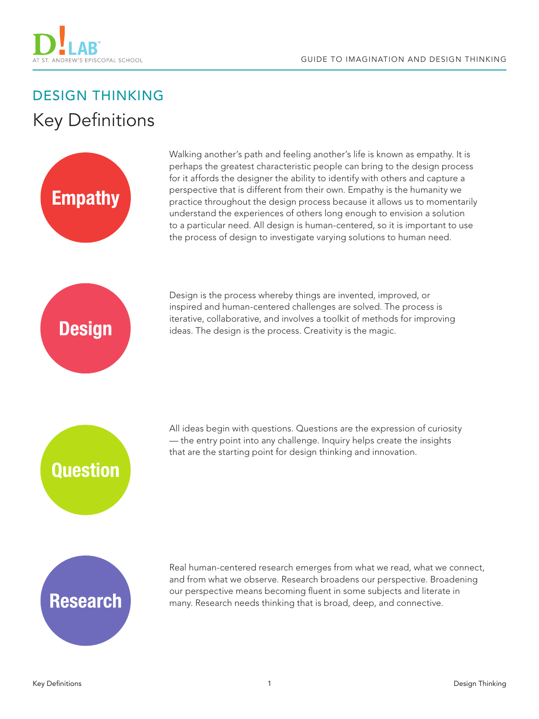

## DESIGN THINKING **Key Definitions**



Walking another's path and feeling another's life is known as empathy. It is perhaps the greatest characteristic people can bring to the design process for it affords the designer the ability to identify with others and capture a perspective that is different from their own. Empathy is the humanity we practice throughout the design process because it allows us to momentarily understand the experiences of others long enough to envision a solution to a particular need. All design is human-centered, so it is important to use the process of design to investigate varying solutions to human need.



Design is the process whereby things are invented, improved, or inspired and human-centered challenges are solved. The process is iterative, collaborative, and involves a toolkit of methods for improving ideas. The design is the process. Creativity is the magic.



All ideas begin with questions. Questions are the expression of curiosity — the entry point into any challenge. Inquiry helps create the insights that are the starting point for design thinking and innovation.

## **Research**

Real human-centered research emerges from what we read, what we connect, and from what we observe. Research broadens our perspective. Broadening our perspective means becoming fluent in some subjects and literate in many. Research needs thinking that is broad, deep, and connective.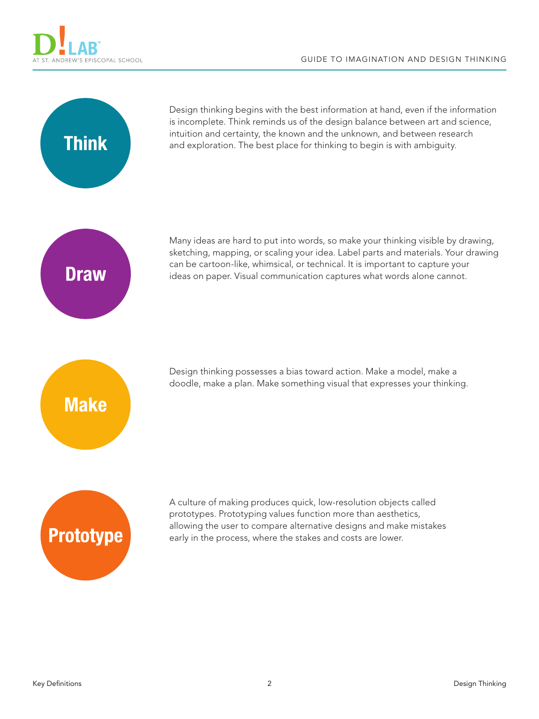



Design thinking begins with the best information at hand, even if the information is incomplete. Think reminds us of the design balance between art and science, intuition and certainty, the known and the unknown, and between research and exploration. The best place for thinking to begin is with ambiguity.



Many ideas are hard to put into words, so make your thinking visible by drawing, sketching, mapping, or scaling your idea. Label parts and materials. Your drawing can be cartoon-like, whimsical, or technical. It is important to capture your ideas on paper. Visual communication captures what words alone cannot.

**Make** 

Design thinking possesses a bias toward action. Make a model, make a doodle, make a plan. Make something visual that expresses your thinking.



A culture of making produces quick, low-resolution objects called prototypes. Prototyping values function more than aesthetics, allowing the user to compare alternative designs and make mistakes early in the process, where the stakes and costs are lower.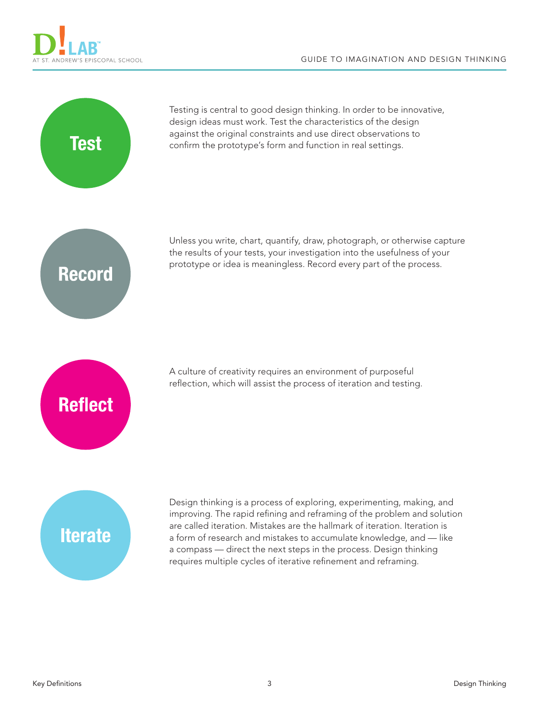



Testing is central to good design thinking. In order to be innovative, design ideas must work. Test the characteristics of the design against the original constraints and use direct observations to confirm the prototype's form and function in real settings.



Unless you write, chart, quantify, draw, photograph, or otherwise capture the results of your tests, your investigation into the usefulness of your prototype or idea is meaningless. Record every part of the process.

**Reflect** 

A culture of creativity requires an environment of purposeful reflection, which will assist the process of iteration and testing.

## **Iterate**

Design thinking is a process of exploring, experimenting, making, and improving. The rapid refining and reframing of the problem and solution are called iteration. Mistakes are the hallmark of iteration. Iteration is a form of research and mistakes to accumulate knowledge, and — like a compass — direct the next steps in the process. Design thinking requires multiple cycles of iterative refinement and reframing.